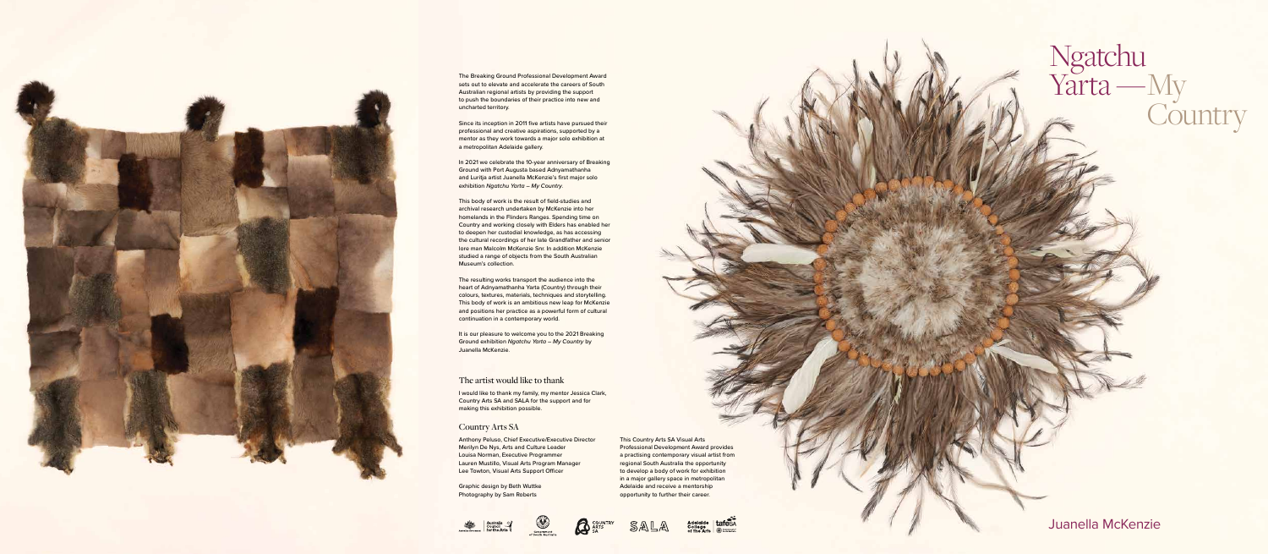Ngatchu

Yarta —My

Country

Juanella McKenzie

## The artist would like to thank

I would like to thank my family, my mentor Jessica Clark, Country Arts SA and SALA for the support and for making this exhibition possible.

## Country Arts SA

**Graphic design by Beth Wuttke** Photography by Sam Roberts





Anthony Peluso, Chief Executive/Executive Director Merilyn De Nys, Arts and Culture Leader Louisa Norman, Executive Programmer Lauren Mustillo, Visual Arts Program Manager Lee Towton, Visual Arts Support Officer

In 2021 we celebrate the 10-year anniversary of Breaking Ground with Port Augusta based Adnyamathanha and Luritja artist Juanella McKenzie's first major solo exhibition *Ngatchu Yarta – My Country*.



The Breaking Ground Professional Development Award sets out to elevate and accelerate the careers of South Australian regional artists by providing the support to push the boundaries of their practice into new and uncharted territory.

Since its inception in 2011 five artists have pursued their professional and creative aspirations, supported by a mentor as they work towards a major solo exhibition at a metropolitan Adelaide gallery.

It is our pleasure to welcome you to the 2021 Breaking Ground exhibition *Ngatchu Yarta – My Country* by Juanella McKenzie.

This body of work is the result of field-studies and archival research undertaken by McKenzie into her homelands in the Flinders Ranges. Spending time on Country and working closely with Elders has enabled her to deepen her custodial knowledge, as has accessing the cultural recordings of her late Grandfather and senior lore man Malcolm McKenzie Snr. In addition McKenzie studied a range of objects from the South Australian Museum's collection.

The resulting works transport the audience into the heart of Adnyamathanha Yarta (Country) through their colours, textures, materials, techniques and storytelling. This body of work is an ambitious new leap for McKenzie and positions her practice as a powerful form of cultural continuation in a contemporary world.

> This Country Arts SA Visual Arts Professional Development Award provides a practising contemporary visual artist from regional South Australia the opportunity to develop a body of work for exhibition in a major gallery space in metropolitan Adelaide and receive a mentorship opportunity to further their career.